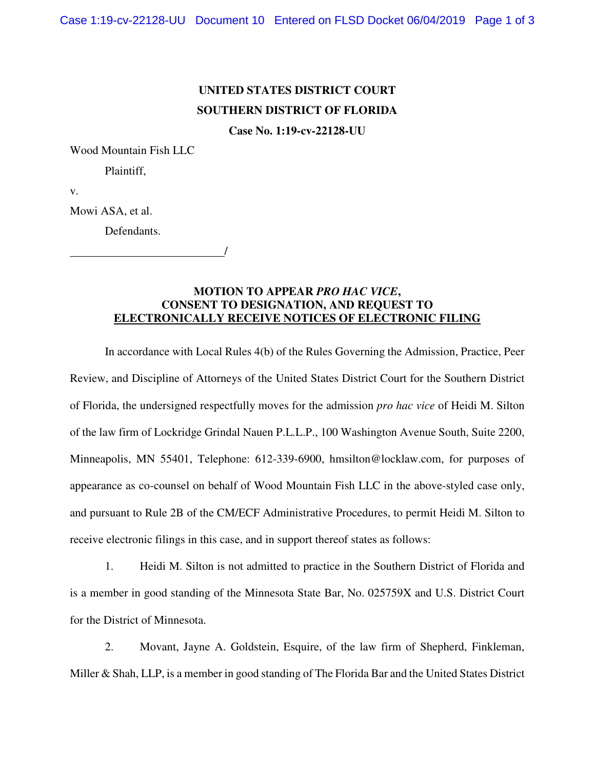## **UNITED STATES DISTRICT COURT SOUTHERN DISTRICT OF FLORIDA**

**Case No. 1:19-cv-22128-UU** 

Wood Mountain Fish LLC

Plaintiff,

v.

Mowi ASA, et al.

Defendants.

/

**MOTION TO APPEAR** *PRO HAC VICE***, CONSENT TO DESIGNATION, AND REQUEST TO ELECTRONICALLY RECEIVE NOTICES OF ELECTRONIC FILING**

In accordance with Local Rules 4(b) of the Rules Governing the Admission, Practice, Peer Review, and Discipline of Attorneys of the United States District Court for the Southern District of Florida, the undersigned respectfully moves for the admission *pro hac vice* of Heidi M. Silton of the law firm of Lockridge Grindal Nauen P.L.L.P., 100 Washington Avenue South, Suite 2200, Minneapolis, MN 55401, Telephone: 612-339-6900, hmsilton@locklaw.com, for purposes of appearance as co-counsel on behalf of Wood Mountain Fish LLC in the above-styled case only, and pursuant to Rule 2B of the CM/ECF Administrative Procedures, to permit Heidi M. Silton to receive electronic filings in this case, and in support thereof states as follows:

1. Heidi M. Silton is not admitted to practice in the Southern District of Florida and is a member in good standing of the Minnesota State Bar, No. 025759X and U.S. District Court for the District of Minnesota.

2. Movant, Jayne A. Goldstein, Esquire, of the law firm of Shepherd, Finkleman, Miller & Shah, LLP, is a member in good standing of The Florida Bar and the United States District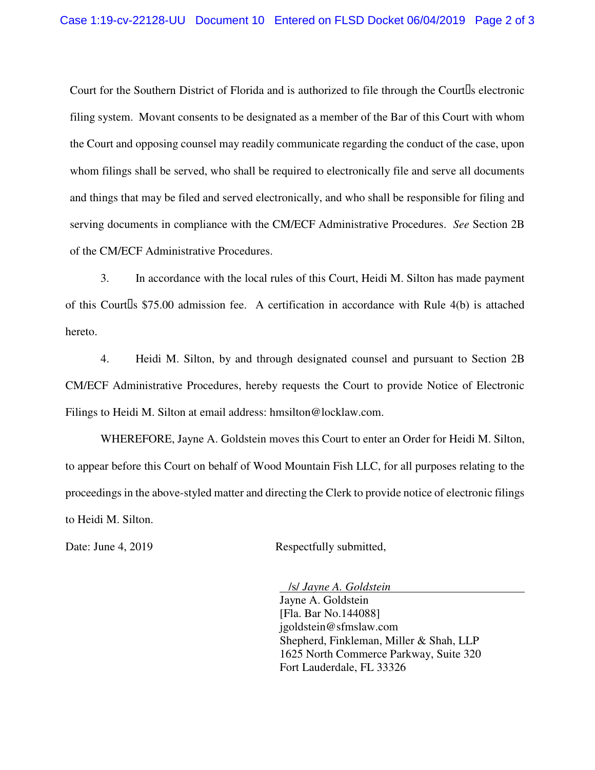Court for the Southern District of Florida and is authorized to file through the Court s electronic filing system. Movant consents to be designated as a member of the Bar of this Court with whom the Court and opposing counsel may readily communicate regarding the conduct of the case, upon whom filings shall be served, who shall be required to electronically file and serve all documents and things that may be filed and served electronically, and who shall be responsible for filing and serving documents in compliance with the CM/ECF Administrative Procedures. *See* Section 2B of the CM/ECF Administrative Procedures.

3. In accordance with the local rules of this Court, Heidi M. Silton has made payment of this Court s  $$75.00$  admission fee. A certification in accordance with Rule  $4(b)$  is attached hereto.

4. Heidi M. Silton, by and through designated counsel and pursuant to Section 2B CM/ECF Administrative Procedures, hereby requests the Court to provide Notice of Electronic Filings to Heidi M. Silton at email address: hmsilton@locklaw.com.

WHEREFORE, Jayne A. Goldstein moves this Court to enter an Order for Heidi M. Silton, to appear before this Court on behalf of Wood Mountain Fish LLC, for all purposes relating to the proceedings in the above-styled matter and directing the Clerk to provide notice of electronic filings to Heidi M. Silton.

Date: June 4, 2019 Respectfully submitted,

 /s/ *Jayne A. Goldstein*  Jayne A. Goldstein [Fla. Bar No.144088] jgoldstein@sfmslaw.com Shepherd, Finkleman, Miller & Shah, LLP 1625 North Commerce Parkway, Suite 320 Fort Lauderdale, FL 33326